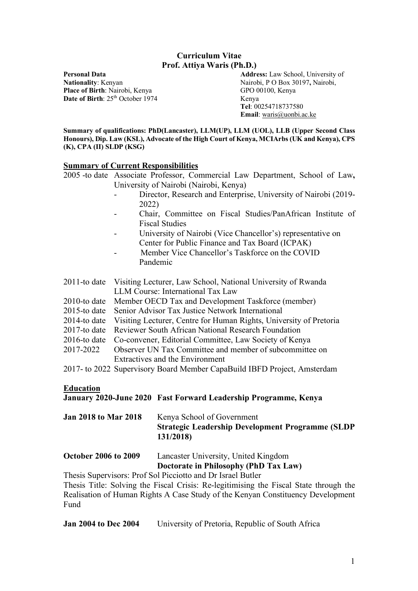## **Curriculum Vitae Prof. Attiya Waris (Ph.D.)**

Place of Birth: Nairobi, Kenya GPO 00100, Kenya **Date of Birth**:  $25^{th}$  October 1974 Kenya

**Personal Data Address:** Law School, University of **Nationality**: Kenyan Nairobi, P O Box 30197, Nairobi, **Tel**: 00254718737580 **Email**: waris@uonbi.ac.ke

**Summary of qualifications: PhD(Lancaster), LLM(UP), LLM (UOL), LLB (Upper Second Class Honours), Dip. Law (KSL), Advocate of the High Court of Kenya, MCIArbs (UK and Kenya), CPS (K), CPA (II) SLDP (KSG)**

#### **Summary of Current Responsibilities**

2005 -to date Associate Professor, Commercial Law Department, School of Law**,** University of Nairobi (Nairobi, Kenya)

- Director, Research and Enterprise, University of Nairobi (2019- 2022)
- Chair, Committee on Fiscal Studies/PanAfrican Institute of Fiscal Studies
- University of Nairobi (Vice Chancellor's) representative on Center for Public Finance and Tax Board (ICPAK)
- Member Vice Chancellor's Taskforce on the COVID Pandemic

| 2011-to date Visiting Lecturer, Law School, National University of Rwanda                                                                                                                                                                                                                                         |
|-------------------------------------------------------------------------------------------------------------------------------------------------------------------------------------------------------------------------------------------------------------------------------------------------------------------|
| LLM Course: International Tax Law                                                                                                                                                                                                                                                                                 |
| 2010-to date Member OECD Tax and Development Taskforce (member)                                                                                                                                                                                                                                                   |
| $\bigcap_{i=1}^{n}$ , $\bigcap_{i=1}^{n}$ , $\bigcap_{i=1}^{n}$ , $\bigcap_{i=1}^{n}$ , $\bigcap_{i=1}^{n}$ , $\bigcap_{i=1}^{n}$ , $\bigcap_{i=1}^{n}$ , $\bigcap_{i=1}^{n}$ , $\bigcap_{i=1}^{n}$ , $\bigcap_{i=1}^{n}$ , $\bigcap_{i=1}^{n}$ , $\bigcap_{i=1}^{n}$ , $\bigcap_{i=1}^{n}$ , $\bigcap_{i=1}^{n}$ |

- 2015-to date Senior Advisor Tax Justice Network International
- 2014-to date Visiting Lecturer, Centre for Human Rights, University of Pretoria
- 2017-to date Reviewer South African National Research Foundation
- 2016-to date Co-convener, Editorial Committee, Law Society of Kenya
- 2017-2022 Observer UN Tax Committee and member of subcommittee on Extractives and the Environment

2017- to 2022 Supervisory Board Member CapaBuild IBFD Project, Amsterdam

## **Education**

## **January 2020-June 2020 Fast Forward Leadership Programme, Kenya**

| <b>Jan 2018 to Mar 2018</b> | Kenya School of Government                               |
|-----------------------------|----------------------------------------------------------|
|                             | <b>Strategic Leadership Development Programme (SLDP)</b> |
|                             | 131/2018)                                                |

| <b>October 2006 to 2009</b> | Lancaster University, United Kingdom  |
|-----------------------------|---------------------------------------|
|                             | Doctorate in Philosophy (PhD Tax Law) |

Thesis Supervisors: Prof Sol Picciotto and Dr Israel Butler

Thesis Title: Solving the Fiscal Crisis: Re-legitimising the Fiscal State through the Realisation of Human Rights A Case Study of the Kenyan Constituency Development Fund

**Jan 2004 to Dec 2004** University of Pretoria, Republic of South Africa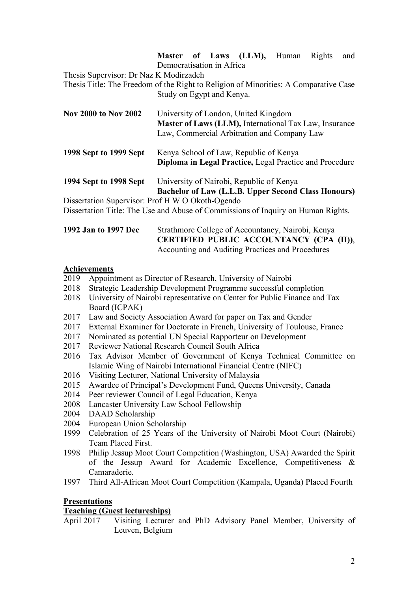**Master of Laws (LLM),** Human Rights and Democratisation in Africa

Thesis Supervisor: Dr Naz K Modirzadeh

Thesis Title: The Freedom of the Right to Religion of Minorities: A Comparative Case Study on Egypt and Kenya.

| <b>Nov 2000 to Nov 2002</b> | University of London, United Kingdom<br><b>Master of Laws (LLM), International Tax Law, Insurance</b><br>Law, Commercial Arbitration and Company Law |
|-----------------------------|------------------------------------------------------------------------------------------------------------------------------------------------------|
| 1998 Sept to 1999 Sept      | Kenya School of Law, Republic of Kenya<br>Diploma in Legal Practice, Legal Practice and Procedure                                                    |
| 1994 Sept to 1998 Sept      | University of Nairobi, Republic of Kenya                                                                                                             |

**Bachelor of Law (L.L.B. Upper Second Class Honours)**

Dissertation Supervisor: Prof H W O Okoth-Ogendo

Dissertation Title: The Use and Abuse of Commissions of Inquiry on Human Rights.

| 1992 Jan to 1997 Dec | Strathmore College of Accountancy, Nairobi, Kenya |
|----------------------|---------------------------------------------------|
|                      | CERTIFIED PUBLIC ACCOUNTANCY (CPA (II)),          |
|                      | Accounting and Auditing Practices and Procedures  |

## **Achievements**

- 2019 Appointment as Director of Research, University of Nairobi
- 2018 Strategic Leadership Development Programme successful completion
- 2018 University of Nairobi representative on Center for Public Finance and Tax Board (ICPAK)
- 2017 Law and Society Association Award for paper on Tax and Gender
- 2017 External Examiner for Doctorate in French, University of Toulouse, France
- 2017 Nominated as potential UN Special Rapporteur on Development
- 2017 Reviewer National Research Council South Africa
- 2016 Tax Advisor Member of Government of Kenya Technical Committee on Islamic Wing of Nairobi International Financial Centre (NIFC)
- 2016 Visiting Lecturer, National University of Malaysia
- 2015 Awardee of Principal's Development Fund, Queens University, Canada
- 2014 Peer reviewer Council of Legal Education, Kenya
- 2008 Lancaster University Law School Fellowship
- 2004 DAAD Scholarship
- 2004 European Union Scholarship
- 1999 Celebration of 25 Years of the University of Nairobi Moot Court (Nairobi) Team Placed First.
- 1998 Philip Jessup Moot Court Competition (Washington, USA) Awarded the Spirit of the Jessup Award for Academic Excellence, Competitiveness & Camaraderie.
- 1997 Third All-African Moot Court Competition (Kampala, Uganda) Placed Fourth

## **Presentations**

## **Teaching (Guest lectureships)**

April 2017 Visiting Lecturer and PhD Advisory Panel Member, University of Leuven, Belgium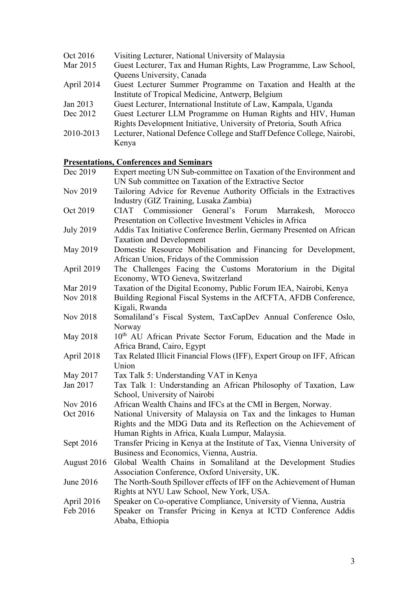| Oct 2016   | Visiting Lecturer, National University of Malaysia                     |
|------------|------------------------------------------------------------------------|
| Mar 2015   | Guest Lecturer, Tax and Human Rights, Law Programme, Law School,       |
|            | Queens University, Canada                                              |
| April 2014 | Guest Lecturer Summer Programme on Taxation and Health at the          |
|            | Institute of Tropical Medicine, Antwerp, Belgium                       |
| Jan 2013   | Guest Lecturer, International Institute of Law, Kampala, Uganda        |
| Dec 2012   | Guest Lecturer LLM Programme on Human Rights and HIV, Human            |
|            | Rights Development Initiative, University of Pretoria, South Africa    |
| 2010-2013  | Lecturer, National Defence College and Staff Defence College, Nairobi, |
|            | Kenya                                                                  |

# **Presentations, Conferences and Seminars**

|                  | <u>Presentations, Conferences and Seminars</u>                              |
|------------------|-----------------------------------------------------------------------------|
| Dec 2019         | Expert meeting UN Sub-committee on Taxation of the Environment and          |
|                  | UN Sub committee on Taxation of the Extractive Sector                       |
| Nov 2019         | Tailoring Advice for Revenue Authority Officials in the Extractives         |
|                  | Industry (GIZ Training, Lusaka Zambia)                                      |
| Oct 2019         | Commissioner<br>General's<br>Forum<br>Morocco<br><b>CIAT</b><br>Marrakesh,  |
|                  | Presentation on Collective Investment Vehicles in Africa                    |
| <b>July 2019</b> | Addis Tax Initiative Conference Berlin, Germany Presented on African        |
|                  | <b>Taxation and Development</b>                                             |
| May 2019         | Domestic Resource Mobilisation and Financing for Development,               |
|                  | African Union, Fridays of the Commission                                    |
| April 2019       | The Challenges Facing the Customs Moratorium in the Digital                 |
|                  | Economy, WTO Geneva, Switzerland                                            |
| Mar 2019         | Taxation of the Digital Economy, Public Forum IEA, Nairobi, Kenya           |
| Nov 2018         | Building Regional Fiscal Systems in the AfCFTA, AFDB Conference,            |
|                  | Kigali, Rwanda                                                              |
| <b>Nov 2018</b>  | Somaliland's Fiscal System, TaxCapDev Annual Conference Oslo,               |
|                  | Norway                                                                      |
| May 2018         | 10 <sup>th</sup> AU African Private Sector Forum, Education and the Made in |
|                  | Africa Brand, Cairo, Egypt                                                  |
| April 2018       | Tax Related Illicit Financial Flows (IFF), Expert Group on IFF, African     |
|                  | Union                                                                       |
| May 2017         | Tax Talk 5: Understanding VAT in Kenya                                      |
| Jan 2017         | Tax Talk 1: Understanding an African Philosophy of Taxation, Law            |
|                  | School, University of Nairobi                                               |
| Nov 2016         | African Wealth Chains and IFCs at the CMI in Bergen, Norway.                |
| Oct 2016         | National University of Malaysia on Tax and the linkages to Human            |
|                  | Rights and the MDG Data and its Reflection on the Achievement of            |
|                  | Human Rights in Africa, Kuala Lumpur, Malaysia.                             |
| Sept 2016        | Transfer Pricing in Kenya at the Institute of Tax, Vienna University of     |
|                  | Business and Economics, Vienna, Austria.                                    |
| August 2016      | Global Wealth Chains in Somaliland at the Development Studies               |
|                  | Association Conference, Oxford University, UK.                              |
| June 2016        | The North-South Spillover effects of IFF on the Achievement of Human        |
|                  | Rights at NYU Law School, New York, USA.                                    |
| April 2016       | Speaker on Co-operative Compliance, University of Vienna, Austria           |
| Feb 2016         | Speaker on Transfer Pricing in Kenya at ICTD Conference Addis               |
|                  | Ababa, Ethiopia                                                             |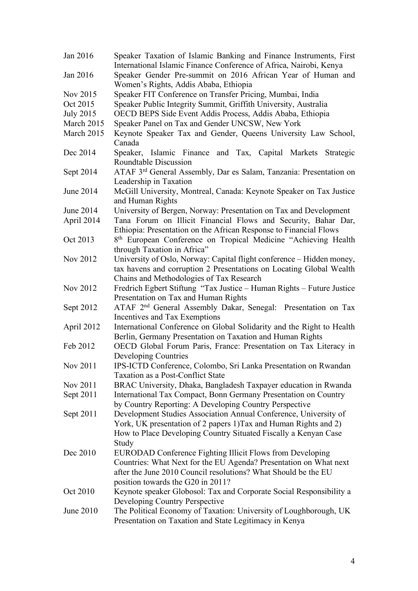| Jan 2016         | Speaker Taxation of Islamic Banking and Finance Instruments, First                                                                  |
|------------------|-------------------------------------------------------------------------------------------------------------------------------------|
|                  | International Islamic Finance Conference of Africa, Nairobi, Kenya                                                                  |
| Jan 2016         | Speaker Gender Pre-summit on 2016 African Year of Human and<br>Women's Rights, Addis Ababa, Ethiopia                                |
| Nov 2015         | Speaker FIT Conference on Transfer Pricing, Mumbai, India                                                                           |
| Oct 2015         | Speaker Public Integrity Summit, Griffith University, Australia                                                                     |
| <b>July 2015</b> | OECD BEPS Side Event Addis Process, Addis Ababa, Ethiopia                                                                           |
| March 2015       | Speaker Panel on Tax and Gender UNCSW, New York                                                                                     |
| March 2015       | Keynote Speaker Tax and Gender, Queens University Law School,<br>Canada                                                             |
| Dec 2014         | Speaker, Islamic Finance and Tax, Capital Markets Strategic<br>Roundtable Discussion                                                |
| Sept 2014        | ATAF 3 <sup>rd</sup> General Assembly, Dar es Salam, Tanzania: Presentation on<br>Leadership in Taxation                            |
| June 2014        | McGill University, Montreal, Canada: Keynote Speaker on Tax Justice<br>and Human Rights                                             |
| June 2014        | University of Bergen, Norway: Presentation on Tax and Development                                                                   |
| April 2014       | Tana Forum on Illicit Financial Flows and Security, Bahar Dar,<br>Ethiopia: Presentation on the African Response to Financial Flows |
| Oct 2013         | 8 <sup>th</sup> European Conference on Tropical Medicine "Achieving Health"<br>through Taxation in Africa"                          |
| Nov 2012         | University of Oslo, Norway: Capital flight conference - Hidden money,                                                               |
|                  | tax havens and corruption 2 Presentations on Locating Global Wealth<br>Chains and Methodologies of Tax Research                     |
| Nov 2012         | Fredrich Egbert Stiftung "Tax Justice - Human Rights - Future Justice                                                               |
|                  | Presentation on Tax and Human Rights                                                                                                |
| Sept 2012        | ATAF 2 <sup>nd</sup> General Assembly Dakar, Senegal: Presentation on Tax<br>Incentives and Tax Exemptions                          |
| April 2012       | International Conference on Global Solidarity and the Right to Health                                                               |
|                  | Berlin, Germany Presentation on Taxation and Human Rights                                                                           |
| Feb 2012         | OECD Global Forum Paris, France: Presentation on Tax Literacy in                                                                    |
|                  | Developing Countries                                                                                                                |
| Nov 2011         | IPS-ICTD Conference, Colombo, Sri Lanka Presentation on Rwandan                                                                     |
|                  | <b>Taxation as a Post-Conflict State</b>                                                                                            |
| Nov 2011         | BRAC University, Dhaka, Bangladesh Taxpayer education in Rwanda                                                                     |
| Sept 2011        | International Tax Compact, Bonn Germany Presentation on Country                                                                     |
|                  | by Country Reporting: A Developing Country Perspective                                                                              |
| Sept 2011        | Development Studies Association Annual Conference, University of                                                                    |
|                  | York, UK presentation of 2 papers 1) Tax and Human Rights and 2)                                                                    |
|                  | How to Place Developing Country Situated Fiscally a Kenyan Case                                                                     |
|                  | Study                                                                                                                               |
| Dec 2010         | EURODAD Conference Fighting Illicit Flows from Developing                                                                           |
|                  | Countries: What Next for the EU Agenda? Presentation on What next                                                                   |
|                  | after the June 2010 Council resolutions? What Should be the EU                                                                      |
|                  | position towards the G20 in 2011?                                                                                                   |
| Oct 2010         | Keynote speaker Globosol: Tax and Corporate Social Responsibility a                                                                 |
|                  | Developing Country Perspective                                                                                                      |
| June 2010        | The Political Economy of Taxation: University of Loughborough, UK                                                                   |
|                  | Presentation on Taxation and State Legitimacy in Kenya                                                                              |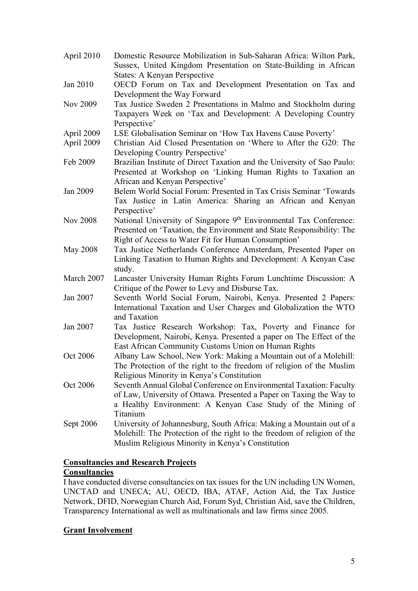| April 2010      | Domestic Resource Mobilization in Sub-Saharan Africa: Wilton Park,<br>Sussex, United Kingdom Presentation on State-Building in African                                                               |
|-----------------|------------------------------------------------------------------------------------------------------------------------------------------------------------------------------------------------------|
|                 | <b>States: A Kenyan Perspective</b>                                                                                                                                                                  |
| Jan 2010        | OECD Forum on Tax and Development Presentation on Tax and<br>Development the Way Forward                                                                                                             |
| Nov 2009        | Tax Justice Sweden 2 Presentations in Malmo and Stockholm during<br>Taxpayers Week on 'Tax and Development: A Developing Country<br>Perspective'                                                     |
| April 2009      | LSE Globalisation Seminar on 'How Tax Havens Cause Poverty'                                                                                                                                          |
| April 2009      | Christian Aid Closed Presentation on 'Where to After the G20: The<br>Developing Country Perspective'                                                                                                 |
| Feb 2009        | Brazilian Institute of Direct Taxation and the University of Sao Paulo:                                                                                                                              |
|                 | Presented at Workshop on 'Linking Human Rights to Taxation an<br>African and Kenyan Perspective'                                                                                                     |
| Jan 2009        | Belem World Social Forum: Presented in Tax Crisis Seminar 'Towards<br>Tax Justice in Latin America: Sharing an African and Kenyan<br>Perspective'                                                    |
| <b>Nov 2008</b> | National University of Singapore 9th Environmental Tax Conference:                                                                                                                                   |
|                 | Presented on 'Taxation, the Environment and State Responsibility: The<br>Right of Access to Water Fit for Human Consumption'                                                                         |
| <b>May 2008</b> | Tax Justice Netherlands Conference Amsterdam, Presented Paper on<br>Linking Taxation to Human Rights and Development: A Kenyan Case<br>study.                                                        |
| March 2007      | Lancaster University Human Rights Forum Lunchtime Discussion: A<br>Critique of the Power to Levy and Disburse Tax.                                                                                   |
| Jan 2007        | Seventh World Social Forum, Nairobi, Kenya. Presented 2 Papers:<br>International Taxation and User Charges and Globalization the WTO<br>and Taxation                                                 |
| Jan 2007        | Tax Justice Research Workshop: Tax, Poverty and Finance for<br>Development, Nairobi, Kenya. Presented a paper on The Effect of the<br>East African Community Customs Union on Human Rights           |
| Oct 2006        | Albany Law School, New York: Making a Mountain out of a Molehill:                                                                                                                                    |
|                 | The Protection of the right to the freedom of religion of the Muslim                                                                                                                                 |
| Oct 2006        | Religious Minority in Kenya's Constitution<br>Seventh Annual Global Conference on Environmental Taxation: Faculty                                                                                    |
|                 | of Law, University of Ottawa. Presented a Paper on Taxing the Way to<br>a Healthy Environment: A Kenyan Case Study of the Mining of                                                                  |
|                 | Titanium                                                                                                                                                                                             |
| Sept 2006       | University of Johannesburg, South Africa: Making a Mountain out of a<br>Molehill: The Protection of the right to the freedom of religion of the<br>Muslim Religious Minority in Kenya's Constitution |

# **Consultancies and Research Projects Consultancies**

I have conducted diverse consultancies on tax issues for the UN including UN Women, UNCTAD and UNECA; AU, OECD, IBA, ATAF, Action Aid, the Tax Justice Network, DFID, Norwegian Church Aid, Forum Syd, Christian Aid, save the Children, Transparency International as well as multinationals and law firms since 2005.

## **Grant Involvement**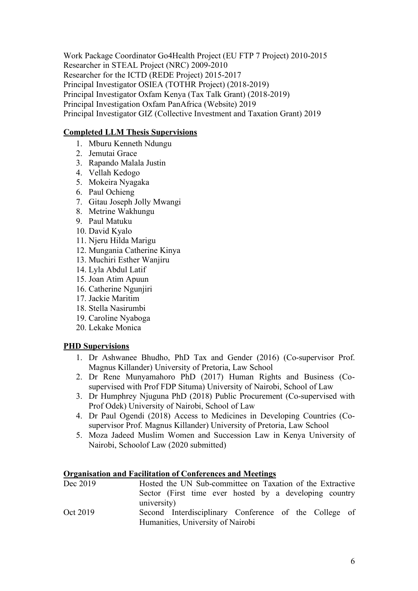Work Package Coordinator Go4Health Project (EU FTP 7 Project) 2010-2015 Researcher in STEAL Project (NRC) 2009-2010 Researcher for the ICTD (REDE Project) 2015-2017 Principal Investigator OSIEA (TOTHR Project) (2018-2019) Principal Investigator Oxfam Kenya (Tax Talk Grant) (2018-2019) Principal Investigation Oxfam PanAfrica (Website) 2019 Principal Investigator GIZ (Collective Investment and Taxation Grant) 2019

## **Completed LLM Thesis Supervisions**

- 1. Mburu Kenneth Ndungu
- 2. Jemutai Grace
- 3. Rapando Malala Justin
- 4. Vellah Kedogo
- 5. Mokeira Nyagaka
- 6. Paul Ochieng
- 7. Gitau Joseph Jolly Mwangi
- 8. Metrine Wakhungu
- 9. Paul Matuku
- 10. David Kyalo
- 11. Njeru Hilda Marigu
- 12. Mungania Catherine Kinya
- 13. Muchiri Esther Wanjiru
- 14. Lyla Abdul Latif
- 15. Joan Atim Apuun
- 16. Catherine Ngunjiri
- 17. Jackie Maritim
- 18. Stella Nasirumbi
- 19. Caroline Nyaboga
- 20. Lekake Monica

## **PHD Supervisions**

- 1. Dr Ashwanee Bhudho, PhD Tax and Gender (2016) (Co-supervisor Prof. Magnus Killander) University of Pretoria, Law School
- 2. Dr Rene Munyamahoro PhD (2017) Human Rights and Business (Cosupervised with Prof FDP Situma) University of Nairobi, School of Law
- 3. Dr Humphrey Njuguna PhD (2018) Public Procurement (Co-supervised with Prof Odek) University of Nairobi, School of Law
- 4. Dr Paul Ogendi (2018) Access to Medicines in Developing Countries (Cosupervisor Prof. Magnus Killander) University of Pretoria, Law School
- 5. Moza Jadeed Muslim Women and Succession Law in Kenya University of Nairobi, Schoolof Law (2020 submitted)

## **Organisation and Facilitation of Conferences and Meetings**

| Dec 2019 | Hosted the UN Sub-committee on Taxation of the Extractive |
|----------|-----------------------------------------------------------|
|          | Sector (First time ever hosted by a developing country    |
|          | university)                                               |
| Oct 2019 | Second Interdisciplinary Conference of the College of     |
|          | Humanities, University of Nairobi                         |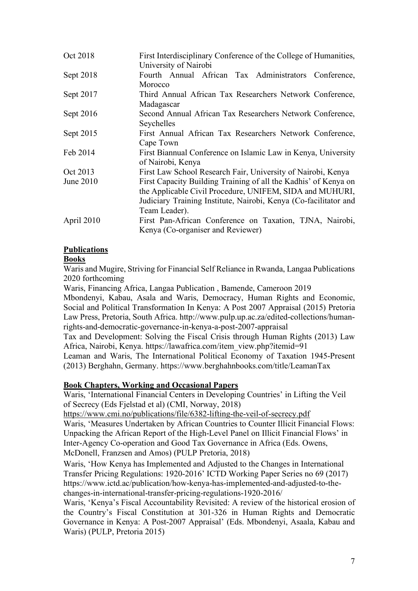| Oct 2018   | First Interdisciplinary Conference of the College of Humanities,<br>University of Nairobi                                                                                                                        |
|------------|------------------------------------------------------------------------------------------------------------------------------------------------------------------------------------------------------------------|
| Sept 2018  | Fourth Annual African Tax Administrators Conference,<br>Morocco                                                                                                                                                  |
| Sept 2017  | Third Annual African Tax Researchers Network Conference,<br>Madagascar                                                                                                                                           |
| Sept 2016  | Second Annual African Tax Researchers Network Conference,<br>Seychelles                                                                                                                                          |
| Sept 2015  | First Annual African Tax Researchers Network Conference,<br>Cape Town                                                                                                                                            |
| Feb 2014   | First Biannual Conference on Islamic Law in Kenya, University<br>of Nairobi, Kenya                                                                                                                               |
| Oct 2013   | First Law School Research Fair, University of Nairobi, Kenya                                                                                                                                                     |
| June 2010  | First Capacity Building Training of all the Kadhis' of Kenya on<br>the Applicable Civil Procedure, UNIFEM, SIDA and MUHURI,<br>Judiciary Training Institute, Nairobi, Kenya (Co-facilitator and<br>Team Leader). |
| April 2010 | First Pan-African Conference on Taxation, TJNA, Nairobi,<br>Kenya (Co-organiser and Reviewer)                                                                                                                    |

# **Publications**

# **Books**

Waris and Mugire, Striving for Financial Self Reliance in Rwanda, Langaa Publications 2020 forthcoming

Waris, Financing Africa, Langaa Publication , Bamende, Cameroon 2019

Mbondenyi, Kabau, Asala and Waris, Democracy, Human Rights and Economic, Social and Political Transformation In Kenya: A Post 2007 Appraisal (2015) Pretoria Law Press, Pretoria, South Africa. http://www.pulp.up.ac.za/edited-collections/humanrights-and-democratic-governance-in-kenya-a-post-2007-appraisal

Tax and Development: Solving the Fiscal Crisis through Human Rights (2013) Law Africa, Nairobi, Kenya. https://lawafrica.com/item\_view.php?itemid=91

Leaman and Waris, The International Political Economy of Taxation 1945-Present (2013) Berghahn, Germany. https://www.berghahnbooks.com/title/LeamanTax

## **Book Chapters, Working and Occasional Papers**

Waris, 'International Financial Centers in Developing Countries' in Lifting the Veil of Secrecy (Eds Fjelstad et al) (CMI, Norway, 2018)

https://www.cmi.no/publications/file/6382-lifting-the-veil-of-secrecy.pdf Waris, 'Measures Undertaken by African Countries to Counter Illicit Financial Flows: Unpacking the African Report of the High-Level Panel on Illicit Financial Flows' in Inter-Agency Co-operation and Good Tax Governance in Africa (Eds. Owens, McDonell, Franzsen and Amos) (PULP Pretoria, 2018)

Waris, 'How Kenya has Implemented and Adjusted to the Changes in International Transfer Pricing Regulations: 1920-2016' ICTD Working Paper Series no 69 (2017) https://www.ictd.ac/publication/how-kenya-has-implemented-and-adjusted-to-thechanges-in-international-transfer-pricing-regulations-1920-2016/

Waris, 'Kenya's Fiscal Accountability Revisited: A review of the historical erosion of the Country's Fiscal Constitution at 301-326 in Human Rights and Democratic Governance in Kenya: A Post-2007 Appraisal' (Eds. Mbondenyi, Asaala, Kabau and Waris) (PULP, Pretoria 2015)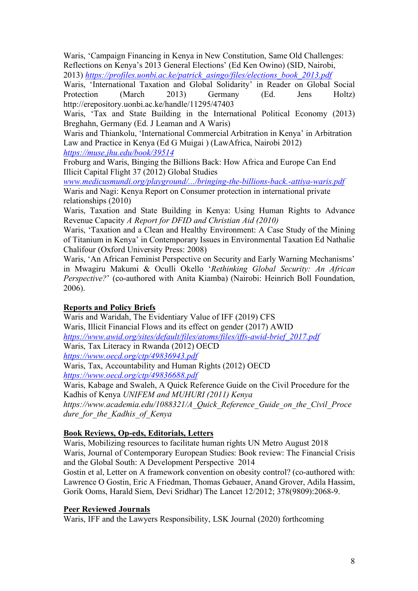Waris, 'Campaign Financing in Kenya in New Constitution, Same Old Challenges: Reflections on Kenya's 2013 General Elections' (Ed Ken Owino) (SID, Nairobi, 2013) *https://profiles.uonbi.ac.ke/patrick\_asingo/files/elections\_book\_2013.pdf*

Waris, 'International Taxation and Global Solidarity' in Reader on Global Social Protection (March 2013) Germany (Ed. Jens Holtz) http://erepository.uonbi.ac.ke/handle/11295/47403

Waris, 'Tax and State Building in the International Political Economy (2013) Breghahn, Germany (Ed. J Leaman and A Waris)

Waris and Thiankolu, 'International Commercial Arbitration in Kenya' in Arbitration Law and Practice in Kenya (Ed G Muigai ) (LawAfrica, Nairobi 2012) *https://muse.jhu.edu/book/39514*

Froburg and Waris, Binging the Billions Back: How Africa and Europe Can End Illicit Capital Flight 37 (2012) Global Studies

*www.medicusmundi.org/playground/.../bringing-the-billions-back.-attiya-waris.pdf* Waris and Nagi: Kenya Report on Consumer protection in international private relationships (2010)

Waris, Taxation and State Building in Kenya: Using Human Rights to Advance Revenue Capacity *A Report for DFID and Christian Aid (2010)*

Waris, 'Taxation and a Clean and Healthy Environment: A Case Study of the Mining of Titanium in Kenya' in Contemporary Issues in Environmental Taxation Ed Nathalie Chalifour (Oxford University Press: 2008)

Waris, 'An African Feminist Perspective on Security and Early Warning Mechanisms' in Mwagiru Makumi & Oculli Okello '*Rethinking Global Security: An African Perspective?*' (co-authored with Anita Kiamba) (Nairobi: Heinrich Boll Foundation, 2006).

## **Reports and Policy Briefs**

Waris and Waridah, The Evidentiary Value of IFF (2019) CFS Waris, Illicit Financial Flows and its effect on gender (2017) AWID *https://www.awid.org/sites/default/files/atoms/files/iffs-awid-brief\_2017.pdf* Waris, Tax Literacy in Rwanda (2012) OECD *https://www.oecd.org/ctp/49836943.pdf* Waris, Tax, Accountability and Human Rights (2012) OECD

*https://www.oecd.org/ctp/49836688.pdf*

Waris, Kabage and Swaleh, A Quick Reference Guide on the Civil Procedure for the Kadhis of Kenya *UNIFEM and MUHURI (2011) Kenya*

*https://www.academia.edu/1088321/A\_Quick\_Reference\_Guide\_on\_the\_Civil\_Proce dure\_for\_the\_Kadhis\_of\_Kenya*

# **Book Reviews, Op-eds, Editorials, Letters**

Waris, Mobilizing resources to facilitate human rights UN Metro August 2018 Waris, Journal of Contemporary European Studies: Book review: The Financial Crisis and the Global South: A Development Perspective 2014

Gostin et al, Letter on A framework convention on obesity control? (co-authored with: Lawrence O Gostin, Eric A Friedman, Thomas Gebauer, Anand Grover, Adila Hassim, Gorik Ooms, Harald Siem, Devi Sridhar) The Lancet 12/2012; 378(9809):2068-9.

## **Peer Reviewed Journals**

Waris, IFF and the Lawyers Responsibility, LSK Journal (2020) forthcoming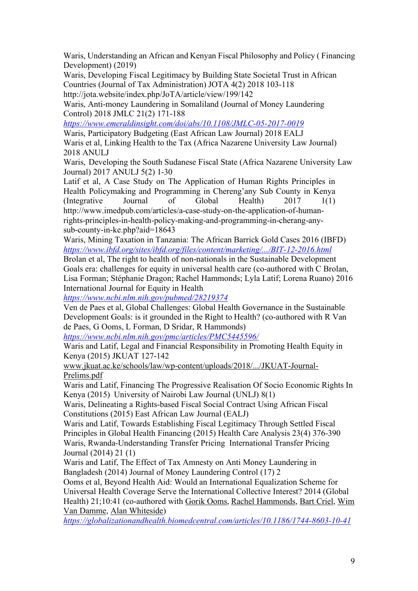Waris, Understanding an African and Kenyan Fiscal Philosophy and Policy ( Financing Development) (2019)

Waris, Developing Fiscal Legitimacy by Building State Societal Trust in African Countries (Journal of Tax Administration) JOTA 4(2) 2018 103-118 http://jota.website/index.php/JoTA/article/view/199/142

Waris, Anti-money Laundering in Somaliland (Journal of Money Laundering Control) 2018 JMLC 21(2) 171-188

*https://www.emeraldinsight.com/doi/abs/10.1108/JMLC-05-2017-0019* Waris, Participatory Budgeting (East African Law Journal) 2018 EALJ Waris et al, Linking Health to the Tax (Africa Nazarene University Law Journal) 2018 ANULJ

Waris, Developing the South Sudanese Fiscal State (Africa Nazarene University Law Journal) 2017 ANULJ 5(2) 1-30

Latif et al, A Case Study on The Application of Human Rights Principles in Health Policymaking and Programming in Chereng'any Sub County in Kenya (Integrative Journal of Global Health) 2017 1(1) http://www.imedpub.com/articles/a-case-study-on-the-application-of-humanrights-principles-in-health-policy-making-and-programming-in-cherang-anysub-county-in-ke.php?aid=18643

Waris, Mining Taxation in Tanzania: The African Barrick Gold Cases 2016 (IBFD) *https://www.ibfd.org/sites/ibfd.org/files/content/marketing/.../BIT-12-2016.html*

Brolan et al, The right to health of non-nationals in the Sustainable Development Goals era: challenges for equity in universal health care (co-authored with C Brolan, Lisa Forman; Stéphanie Dragon; Rachel Hammonds; Lyla Latif; Lorena Ruano) 2016 International Journal for Equity in Health

*https://www.ncbi.nlm.nih.gov/pubmed/28219374*

Ven de Paes et al, Global Challenges: Global Health Governance in the Sustainable Development Goals: is it grounded in the Right to Health? (co-authored with R Van de Paes, G Ooms, L Forman, D Sridar, R Hammonds)

*https://www.ncbi.nlm.nih.gov/pmc/articles/PMC5445596/*

Waris and Latif, Legal and Financial Responsibility in Promoting Health Equity in Kenya (2015) JKUAT 127-142

www.jkuat.ac.ke/schools/law/wp-content/uploads/2018/.../JKUAT-Journal-Prelims.pdf

Waris and Latif, Financing The Progressive Realisation Of Socio Economic Rights In Kenya (2015) University of Nairobi Law Journal (UNLJ) 8(1)

Waris, Delineating a Rights-based Fiscal Social Contract Using African Fiscal Constitutions (2015) East African Law Journal (EALJ)

Waris and Latif, Towards Establishing Fiscal Legitimacy Through Settled Fiscal Principles in Global Health Financing (2015) Health Care Analysis 23(4) 376-390 Waris, Rwanda-Understanding Transfer Pricing International Transfer Pricing Journal (2014) 21 (1)

Waris and Latif, The Effect of Tax Amnesty on Anti Money Laundering in Bangladesh (2014) Journal of Money Laundering Control (17) 2

Ooms et al, Beyond Health Aid: Would an International Equalization Scheme for Universal Health Coverage Serve the International Collective Interest? 2014 (Global Health) 21;10:41 (co-authored with Gorik Ooms, Rachel Hammonds, Bart Criel, Wim Van Damme, Alan Whiteside)

*https://globalizationandhealth.biomedcentral.com/articles/10.1186/1744-8603-10-41*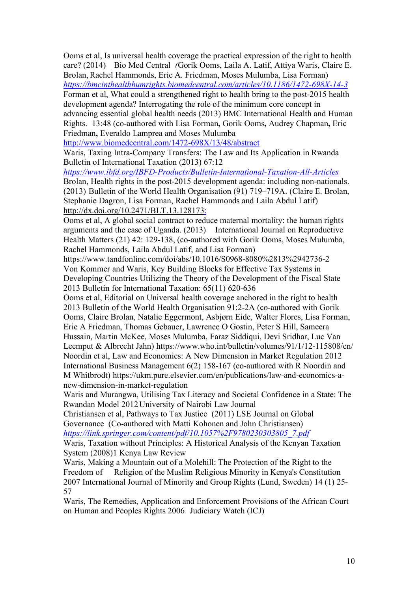Ooms et al, Is universal health coverage the practical expression of the right to health care? (2014) Bio Med Central *(*Gorik Ooms, Laila A. Latif, Attiya Waris, Claire E. Brolan, Rachel Hammonds, Eric A. Friedman, Moses Mulumba, Lisa Forman)

*https://bmcinthealthhumrights.biomedcentral.com/articles/10.1186/1472-698X-14-3* Forman et al, What could a strengthened right to health bring to the post-2015 health

development agenda? Interrogating the role of the minimum core concept in advancing essential global health needs (2013) BMC International Health and Human Rights. 13:48 (co-authored with Lisa Forman**,** Gorik Ooms**,** Audrey Chapman**,** Eric Friedman**,** Everaldo Lamprea and Moses Mulumba

http://www.biomedcentral.com/1472-698X/13/48/abstract

Waris, Taxing Intra-Company Transfers: The Law and Its Application in Rwanda Bulletin of International Taxation (2013) 67:12

*https://www.ibfd.org/IBFD-Products/Bulletin-International-Taxation-All-Articles* Brolan, Health rights in the post-2015 development agenda: including non-nationals. (2013) Bulletin of the World Health Organisation (91) 719–719A. (Claire E. Brolan, Stephanie Dagron, Lisa Forman, Rachel Hammonds and Laila Abdul Latif) http://dx.doi.org/10.2471/BLT.13.128173:

Ooms et al, A global social contract to reduce maternal mortality: the human rights arguments and the case of Uganda. (2013) International Journal on Reproductive Health Matters (21) 42: 129-138, (co-authored with Gorik Ooms, Moses Mulumba, Rachel Hammonds, Laila Abdul Latif, and Lisa Forman)

https://www.tandfonline.com/doi/abs/10.1016/S0968-8080%2813%2942736-2 Von Kommer and Waris, Key Building Blocks for Effective Tax Systems in Developing Countries Utilizing the Theory of the Development of the Fiscal State 2013 Bulletin for International Taxation: 65(11) 620-636

Ooms et al, Editorial on Universal health coverage anchored in the right to health 2013 Bulletin of the World Health Organisation 91:2-2A (co-authored with Gorik Ooms, Claire Brolan, Natalie Eggermont, Asbjørn Eide, Walter Flores, Lisa Forman, Eric A Friedman, Thomas Gebauer, Lawrence O Gostin, Peter S Hill, Sameera Hussain, Martin McKee, Moses Mulumba, Faraz Siddiqui, Devi Sridhar, Luc Van Leemput & Albrecht Jahn) https://www.who.int/bulletin/volumes/91/1/12-115808/en/ Noordin et al, Law and Economics: A New Dimension in Market Regulation 2012 International Business Management 6(2) 158-167 (co-authored with R Noordin and M Whitbrodt) https://ukm.pure.elsevier.com/en/publications/law-and-economics-anew-dimension-in-market-regulation

Waris and Murangwa, Utilising Tax Literacy and Societal Confidence in a State: The Rwandan Model 2012University of Nairobi Law Journal

Christiansen et al, Pathways to Tax Justice (2011) LSE Journal on Global Governance (Co-authored with Matti Kohonen and John Christiansen)

*https://link.springer.com/content/pdf/10.1057%2F9780230303805\_7.pdf*

Waris, Taxation without Principles: A Historical Analysis of the Kenyan Taxation System (2008)1 Kenya Law Review

Waris, Making a Mountain out of a Molehill: The Protection of the Right to the Freedom of Religion of the Muslim Religious Minority in Kenya's Constitution 2007 International Journal of Minority and Group Rights (Lund, Sweden) 14 (1) 25- 57

Waris, The Remedies, Application and Enforcement Provisions of the African Court on Human and Peoples Rights 2006 Judiciary Watch (ICJ)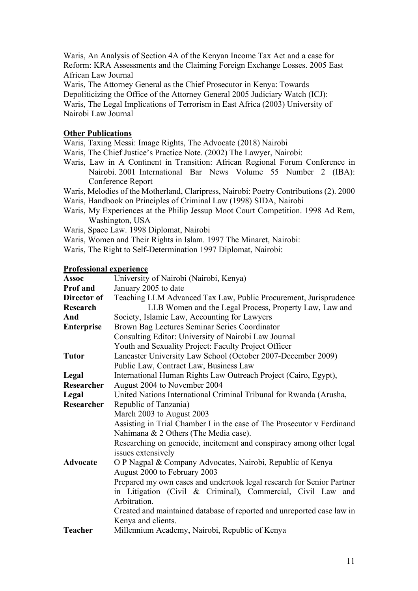Waris, An Analysis of Section 4A of the Kenyan Income Tax Act and a case for Reform: KRA Assessments and the Claiming Foreign Exchange Losses. 2005 East African Law Journal

Waris, The Attorney General as the Chief Prosecutor in Kenya: Towards Depoliticizing the Office of the Attorney General 2005 Judiciary Watch (ICJ): Waris, The Legal Implications of Terrorism in East Africa (2003) University of Nairobi Law Journal

## **Other Publications**

Waris, Taxing Messi: Image Rights, The Advocate (2018) Nairobi

- Waris, The Chief Justice's Practice Note. (2002) The Lawyer, Nairobi:
- Waris, Law in A Continent in Transition: African Regional Forum Conference in Nairobi. 2001 International Bar News Volume 55 Number 2 (IBA): Conference Report
- Waris, Melodies of the Motherland, Claripress, Nairobi: Poetry Contributions (2). 2000
- Waris, Handbook on Principles of Criminal Law (1998) SIDA, Nairobi
- Waris, My Experiences at the Philip Jessup Moot Court Competition. 1998 Ad Rem, Washington, USA
- Waris, Space Law. 1998 Diplomat, Nairobi
- Waris, Women and Their Rights in Islam. 1997 The Minaret, Nairobi:
- Waris, The Right to Self-Determination 1997 Diplomat, Nairobi:

## **Professional experience**

| <b>Assoc</b>      | University of Nairobi (Nairobi, Kenya)                                                     |
|-------------------|--------------------------------------------------------------------------------------------|
| <b>Prof</b> and   | January 2005 to date                                                                       |
| Director of       | Teaching LLM Advanced Tax Law, Public Procurement, Jurisprudence                           |
| Research          | LLB Women and the Legal Process, Property Law, Law and                                     |
| And               | Society, Islamic Law, Accounting for Lawyers                                               |
| <b>Enterprise</b> | Brown Bag Lectures Seminar Series Coordinator                                              |
|                   | Consulting Editor: University of Nairobi Law Journal                                       |
|                   | Youth and Sexuality Project: Faculty Project Officer                                       |
| <b>Tutor</b>      | Lancaster University Law School (October 2007-December 2009)                               |
|                   | Public Law, Contract Law, Business Law                                                     |
| Legal             | International Human Rights Law Outreach Project (Cairo, Egypt),                            |
| Researcher        | August 2004 to November 2004                                                               |
| Legal             | United Nations International Criminal Tribunal for Rwanda (Arusha,                         |
| Researcher        | Republic of Tanzania)                                                                      |
|                   | March 2003 to August 2003                                                                  |
|                   | Assisting in Trial Chamber I in the case of The Prosecutor v Ferdinand                     |
|                   | Nahimana & 2 Others (The Media case).                                                      |
|                   | Researching on genocide, incitement and conspiracy among other legal<br>issues extensively |
| <b>Advocate</b>   | O P Nagpal & Company Advocates, Nairobi, Republic of Kenya                                 |
|                   | August 2000 to February 2003                                                               |
|                   | Prepared my own cases and undertook legal research for Senior Partner                      |
|                   | in Litigation (Civil & Criminal), Commercial, Civil Law and                                |
|                   | Arbitration.                                                                               |
|                   | Created and maintained database of reported and unreported case law in                     |
|                   | Kenya and clients.                                                                         |
| <b>Teacher</b>    | Millennium Academy, Nairobi, Republic of Kenya                                             |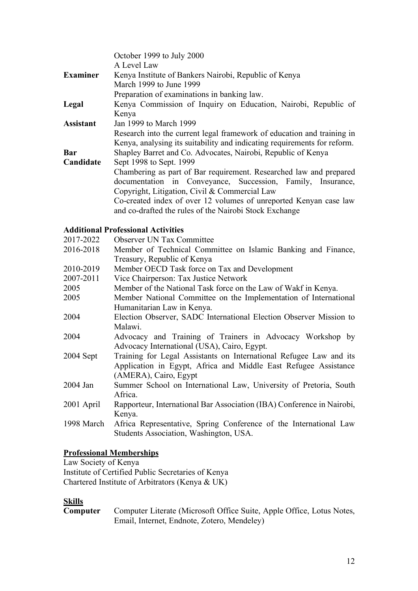|                  | October 1999 to July 2000                                                |
|------------------|--------------------------------------------------------------------------|
|                  | A Level Law                                                              |
| <b>Examiner</b>  | Kenya Institute of Bankers Nairobi, Republic of Kenya                    |
|                  | March 1999 to June 1999                                                  |
|                  | Preparation of examinations in banking law.                              |
| Legal            | Kenya Commission of Inquiry on Education, Nairobi, Republic of           |
|                  | Kenya                                                                    |
| <b>Assistant</b> | Jan 1999 to March 1999                                                   |
|                  | Research into the current legal framework of education and training in   |
|                  | Kenya, analysing its suitability and indicating requirements for reform. |
| Bar              | Shapley Barret and Co. Advocates, Nairobi, Republic of Kenya             |
| Candidate        | Sept 1998 to Sept. 1999                                                  |
|                  | Chambering as part of Bar requirement. Researched law and prepared       |
|                  | documentation in Conveyance, Succession, Family, Insurance,              |
|                  | Copyright, Litigation, Civil & Commercial Law                            |
|                  | Co-created index of over 12 volumes of unreported Kenyan case law        |
|                  | and co-drafted the rules of the Nairobi Stock Exchange                   |
|                  |                                                                          |

## **Additional Professional Activities**

| 2017-2022   | <b>Observer UN Tax Committee</b>                                       |
|-------------|------------------------------------------------------------------------|
| 2016-2018   | Member of Technical Committee on Islamic Banking and Finance,          |
|             | Treasury, Republic of Kenya                                            |
| 2010-2019   | Member OECD Task force on Tax and Development                          |
| 2007-2011   | Vice Chairperson: Tax Justice Network                                  |
| 2005        | Member of the National Task force on the Law of Wakf in Kenya.         |
| 2005        | Member National Committee on the Implementation of International       |
|             | Humanitarian Law in Kenya.                                             |
| 2004        | Election Observer, SADC International Election Observer Mission to     |
|             | Malawi.                                                                |
| 2004        | Advocacy and Training of Trainers in Advocacy Workshop by              |
|             | Advocacy International (USA), Cairo, Egypt.                            |
| $2004$ Sept | Training for Legal Assistants on International Refugee Law and its     |
|             | Application in Egypt, Africa and Middle East Refugee Assistance        |
|             | (AMERA), Cairo, Egypt                                                  |
| 2004 Jan    | Summer School on International Law, University of Pretoria, South      |
|             | Africa.                                                                |
| 2001 April  | Rapporteur, International Bar Association (IBA) Conference in Nairobi, |
|             | Kenya.                                                                 |
| 1998 March  | Africa Representative, Spring Conference of the International Law      |
|             | Students Association, Washington, USA.                                 |

## **Professional Memberships**

Law Society of Kenya Institute of Certified Public Secretaries of Kenya Chartered Institute of Arbitrators (Kenya & UK)

**Skills** Computer Literate (Microsoft Office Suite, Apple Office, Lotus Notes, Email, Internet, Endnote, Zotero, Mendeley)